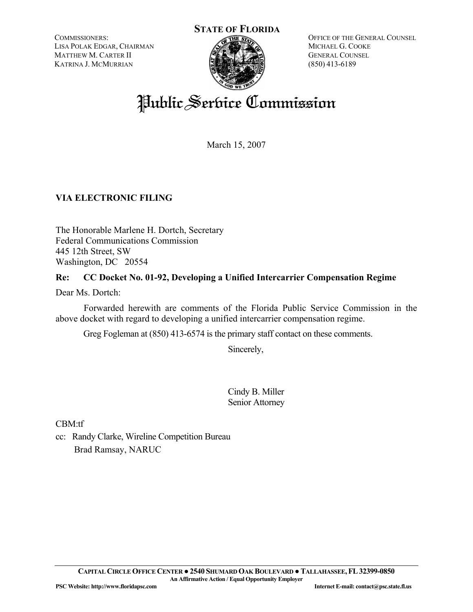COMMISSIONERS: LISA POLAK EDGAR, CHAIRMAN MATTHEW M. CARTER II KATRINA J. MCMURRIAN



OFFICE OF THE GENERAL COUNSEL MICHAEL G. COOKE GENERAL COUNSEL (850) 413-6189

# Public Service Commission

March 15, 2007

# **VIA ELECTRONIC FILING**

The Honorable Marlene H. Dortch, Secretary Federal Communications Commission 445 12th Street, SW Washington, DC 20554

# **Re: CC Docket No. 01-92, Developing a Unified Intercarrier Compensation Regime**

Dear Ms. Dortch:

 Forwarded herewith are comments of the Florida Public Service Commission in the above docket with regard to developing a unified intercarrier compensation regime.

Greg Fogleman at (850) 413-6574 is the primary staff contact on these comments.

Sincerely,

Cindy B. Miller Senior Attorney

CBM:tf

cc: Randy Clarke, Wireline Competition Bureau Brad Ramsay, NARUC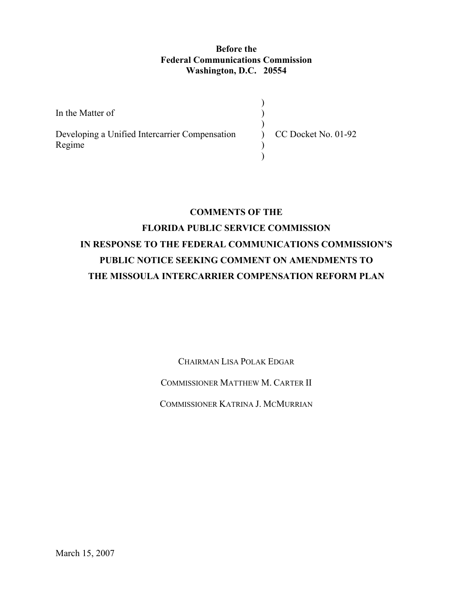### **Before the Federal Communications Commission Washington, D.C. 20554**

In the Matter of Developing a Unified Intercarrier Compensation Regime ) )  $\mathcal{L}$  $\mathcal{L}$  $\mathcal{L}$  $\mathcal{L}$ CC Docket No. 01-92

## **COMMENTS OF THE**

# **FLORIDA PUBLIC SERVICE COMMISSION IN RESPONSE TO THE FEDERAL COMMUNICATIONS COMMISSION'S PUBLIC NOTICE SEEKING COMMENT ON AMENDMENTS TO THE MISSOULA INTERCARRIER COMPENSATION REFORM PLAN**

CHAIRMAN LISA POLAK EDGAR

COMMISSIONER MATTHEW M. CARTER II

COMMISSIONER KATRINA J. MCMURRIAN

March 15, 2007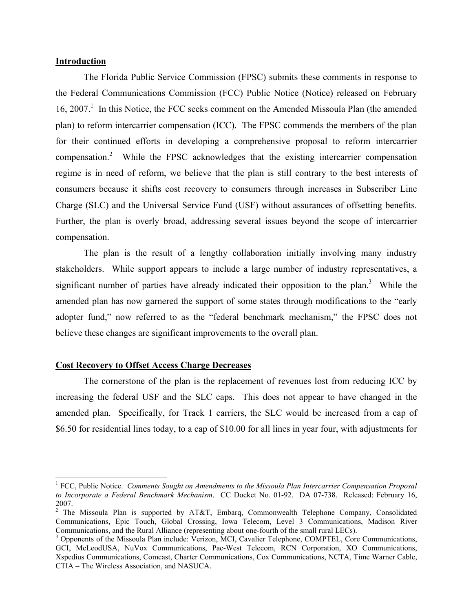#### **Introduction**

 $\overline{a}$ 

 The Florida Public Service Commission (FPSC) submits these comments in response to the Federal Communications Commission (FCC) Public Notice (Notice) released on February 16, 2007.<sup>1</sup> In this Notice, the FCC seeks comment on the Amended Missoula Plan (the amended plan) to reform intercarrier compensation (ICC). The FPSC commends the members of the plan for their continued efforts in developing a comprehensive proposal to reform intercarrier compensation.<sup>2</sup> While the FPSC acknowledges that the existing intercarrier compensation regime is in need of reform, we believe that the plan is still contrary to the best interests of consumers because it shifts cost recovery to consumers through increases in Subscriber Line Charge (SLC) and the Universal Service Fund (USF) without assurances of offsetting benefits. Further, the plan is overly broad, addressing several issues beyond the scope of intercarrier compensation.

 The plan is the result of a lengthy collaboration initially involving many industry stakeholders. While support appears to include a large number of industry representatives, a significant number of parties have already indicated their opposition to the plan.<sup>3</sup> While the amended plan has now garnered the support of some states through modifications to the "early adopter fund," now referred to as the "federal benchmark mechanism," the FPSC does not believe these changes are significant improvements to the overall plan.

#### **Cost Recovery to Offset Access Charge Decreases**

 The cornerstone of the plan is the replacement of revenues lost from reducing ICC by increasing the federal USF and the SLC caps. This does not appear to have changed in the amended plan. Specifically, for Track 1 carriers, the SLC would be increased from a cap of \$6.50 for residential lines today, to a cap of \$10.00 for all lines in year four, with adjustments for

<sup>&</sup>lt;sup>1</sup> FCC, Public Notice. *Comments Sought on Amendments to the Missoula Plan Intercarrier Compensation Proposal to Incorporate a Federal Benchmark Mechanism*. CC Docket No. 01-92. DA 07-738. Released: February 16, 2007.<br><sup>2</sup> The Missoula Plan is supported by AT&T, Embarq, Commonwealth Telephone Company, Consolidated

Communications, Epic Touch, Global Crossing, Iowa Telecom, Level 3 Communications, Madison River Communications, and the Rural Alliance (representing about one-fourth of the small rural LECs). 3

<sup>&</sup>lt;sup>3</sup> Opponents of the Missoula Plan include: Verizon, MCI, Cavalier Telephone, COMPTEL, Core Communications, GCI, McLeodUSA, NuVox Communications, Pac-West Telecom, RCN Corporation, XO Communications, Xspedius Communications, Comcast, Charter Communications, Cox Communications, NCTA, Time Warner Cable, CTIA – The Wireless Association, and NASUCA.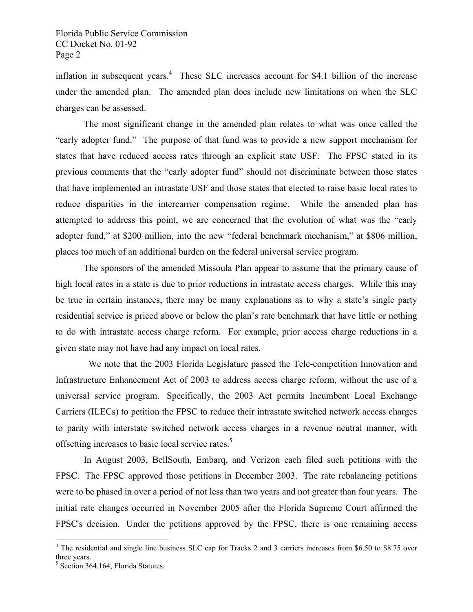inflation in subsequent years.<sup>4</sup> These SLC increases account for \$4.1 billion of the increase under the amended plan. The amended plan does include new limitations on when the SLC charges can be assessed.

 The most significant change in the amended plan relates to what was once called the "early adopter fund." The purpose of that fund was to provide a new support mechanism for states that have reduced access rates through an explicit state USF. The FPSC stated in its previous comments that the "early adopter fund" should not discriminate between those states that have implemented an intrastate USF and those states that elected to raise basic local rates to reduce disparities in the intercarrier compensation regime. While the amended plan has attempted to address this point, we are concerned that the evolution of what was the "early adopter fund," at \$200 million, into the new "federal benchmark mechanism," at \$806 million, places too much of an additional burden on the federal universal service program.

 The sponsors of the amended Missoula Plan appear to assume that the primary cause of high local rates in a state is due to prior reductions in intrastate access charges. While this may be true in certain instances, there may be many explanations as to why a state's single party residential service is priced above or below the plan's rate benchmark that have little or nothing to do with intrastate access charge reform. For example, prior access charge reductions in a given state may not have had any impact on local rates.

 We note that the 2003 Florida Legislature passed the Tele-competition Innovation and Infrastructure Enhancement Act of 2003 to address access charge reform, without the use of a universal service program. Specifically, the 2003 Act permits Incumbent Local Exchange Carriers (ILECs) to petition the FPSC to reduce their intrastate switched network access charges to parity with interstate switched network access charges in a revenue neutral manner, with offsetting increases to basic local service rates.<sup>5</sup>

 In August 2003, BellSouth, Embarq, and Verizon each filed such petitions with the FPSC. The FPSC approved those petitions in December 2003. The rate rebalancing petitions were to be phased in over a period of not less than two years and not greater than four years. The initial rate changes occurred in November 2005 after the Florida Supreme Court affirmed the FPSC's decision. Under the petitions approved by the FPSC, there is one remaining access

1

<sup>&</sup>lt;sup>4</sup> The residential and single line business SLC cap for Tracks 2 and 3 carriers increases from \$6.50 to \$8.75 over three years.

<sup>&</sup>lt;sup>5</sup> Section 364.164, Florida Statutes.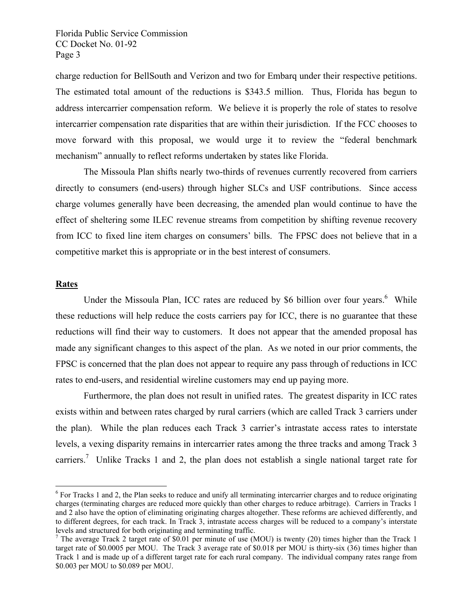charge reduction for BellSouth and Verizon and two for Embarq under their respective petitions. The estimated total amount of the reductions is \$343.5 million. Thus, Florida has begun to address intercarrier compensation reform. We believe it is properly the role of states to resolve intercarrier compensation rate disparities that are within their jurisdiction. If the FCC chooses to move forward with this proposal, we would urge it to review the "federal benchmark mechanism" annually to reflect reforms undertaken by states like Florida.

 The Missoula Plan shifts nearly two-thirds of revenues currently recovered from carriers directly to consumers (end-users) through higher SLCs and USF contributions. Since access charge volumes generally have been decreasing, the amended plan would continue to have the effect of sheltering some ILEC revenue streams from competition by shifting revenue recovery from ICC to fixed line item charges on consumers' bills. The FPSC does not believe that in a competitive market this is appropriate or in the best interest of consumers.

#### **Rates**

 $\overline{a}$ 

Under the Missoula Plan, ICC rates are reduced by \$6 billion over four years.<sup>6</sup> While these reductions will help reduce the costs carriers pay for ICC, there is no guarantee that these reductions will find their way to customers. It does not appear that the amended proposal has made any significant changes to this aspect of the plan. As we noted in our prior comments, the FPSC is concerned that the plan does not appear to require any pass through of reductions in ICC rates to end-users, and residential wireline customers may end up paying more.

 Furthermore, the plan does not result in unified rates. The greatest disparity in ICC rates exists within and between rates charged by rural carriers (which are called Track 3 carriers under the plan). While the plan reduces each Track 3 carrier's intrastate access rates to interstate levels, a vexing disparity remains in intercarrier rates among the three tracks and among Track 3 carriers.<sup>7</sup> Unlike Tracks 1 and 2, the plan does not establish a single national target rate for

<sup>&</sup>lt;sup>6</sup> For Tracks 1 and 2, the Plan seeks to reduce and unify all terminating intercarrier charges and to reduce originating charges (terminating charges are reduced more quickly than other charges to reduce arbitrage). Carriers in Tracks 1 and 2 also have the option of eliminating originating charges altogether. These reforms are achieved differently, and to different degrees, for each track. In Track 3, intrastate access charges will be reduced to a company's interstate levels and structured for both originating and terminating traffic.

<sup>&</sup>lt;sup>7</sup> The average Track 2 target rate of \$0.01 per minute of use (MOU) is twenty (20) times higher than the Track 1 target rate of \$0.0005 per MOU. The Track 3 average rate of \$0.018 per MOU is thirty-six (36) times higher than Track 1 and is made up of a different target rate for each rural company. The individual company rates range from \$0.003 per MOU to \$0.089 per MOU.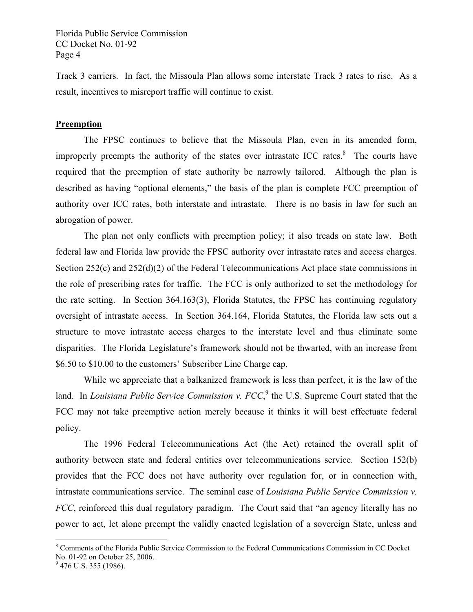Track 3 carriers. In fact, the Missoula Plan allows some interstate Track 3 rates to rise. As a result, incentives to misreport traffic will continue to exist.

#### **Preemption**

 The FPSC continues to believe that the Missoula Plan, even in its amended form, improperly preempts the authority of the states over intrastate ICC rates. $8$  The courts have required that the preemption of state authority be narrowly tailored. Although the plan is described as having "optional elements," the basis of the plan is complete FCC preemption of authority over ICC rates, both interstate and intrastate. There is no basis in law for such an abrogation of power.

 The plan not only conflicts with preemption policy; it also treads on state law. Both federal law and Florida law provide the FPSC authority over intrastate rates and access charges. Section 252(c) and 252(d)(2) of the Federal Telecommunications Act place state commissions in the role of prescribing rates for traffic. The FCC is only authorized to set the methodology for the rate setting. In Section 364.163(3), Florida Statutes, the FPSC has continuing regulatory oversight of intrastate access. In Section 364.164, Florida Statutes, the Florida law sets out a structure to move intrastate access charges to the interstate level and thus eliminate some disparities. The Florida Legislature's framework should not be thwarted, with an increase from \$6.50 to \$10.00 to the customers' Subscriber Line Charge cap.

 While we appreciate that a balkanized framework is less than perfect, it is the law of the land. In *Louisiana Public Service Commission v. FCC*,<sup>9</sup> the U.S. Supreme Court stated that the FCC may not take preemptive action merely because it thinks it will best effectuate federal policy.

 The 1996 Federal Telecommunications Act (the Act) retained the overall split of authority between state and federal entities over telecommunications service. Section 152(b) provides that the FCC does not have authority over regulation for, or in connection with, intrastate communications service. The seminal case of *Louisiana Public Service Commission v. FCC*, reinforced this dual regulatory paradigm. The Court said that "an agency literally has no power to act, let alone preempt the validly enacted legislation of a sovereign State, unless and

 $\overline{a}$ 

<sup>&</sup>lt;sup>8</sup> Comments of the Florida Public Service Commission to the Federal Communications Commission in CC Docket No. 01-92 on October 25, 2006.

 $9$  476 U.S. 355 (1986).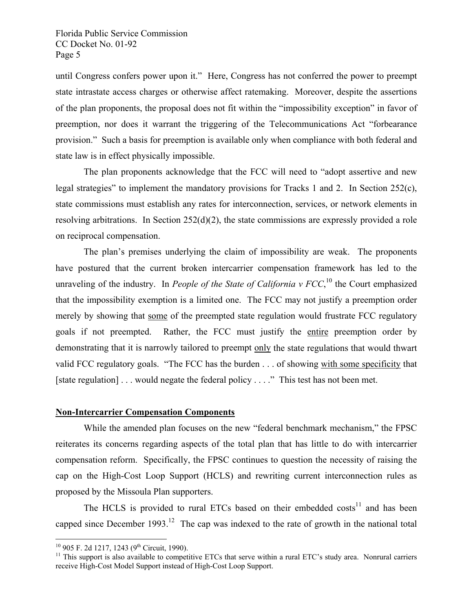until Congress confers power upon it." Here, Congress has not conferred the power to preempt state intrastate access charges or otherwise affect ratemaking. Moreover, despite the assertions of the plan proponents, the proposal does not fit within the "impossibility exception" in favor of preemption, nor does it warrant the triggering of the Telecommunications Act "forbearance provision." Such a basis for preemption is available only when compliance with both federal and state law is in effect physically impossible.

 The plan proponents acknowledge that the FCC will need to "adopt assertive and new legal strategies" to implement the mandatory provisions for Tracks 1 and 2. In Section 252(c), state commissions must establish any rates for interconnection, services, or network elements in resolving arbitrations. In Section 252(d)(2), the state commissions are expressly provided a role on reciprocal compensation.

 The plan's premises underlying the claim of impossibility are weak. The proponents have postured that the current broken intercarrier compensation framework has led to the unraveling of the industry. In *People of the State of California v FCC*,<sup>10</sup> the Court emphasized that the impossibility exemption is a limited one. The FCC may not justify a preemption order merely by showing that some of the preempted state regulation would frustrate FCC regulatory goals if not preempted. Rather, the FCC must justify the entire preemption order by demonstrating that it is narrowly tailored to preempt only the state regulations that would thwart valid FCC regulatory goals. "The FCC has the burden . . . of showing with some specificity that [state regulation] . . . would negate the federal policy . . . ." This test has not been met.

#### **Non-Intercarrier Compensation Components**

 While the amended plan focuses on the new "federal benchmark mechanism," the FPSC reiterates its concerns regarding aspects of the total plan that has little to do with intercarrier compensation reform. Specifically, the FPSC continues to question the necessity of raising the cap on the High-Cost Loop Support (HCLS) and rewriting current interconnection rules as proposed by the Missoula Plan supporters.

The HCLS is provided to rural ETCs based on their embedded  $costs<sup>11</sup>$  and has been capped since December 1993.<sup>12</sup> The cap was indexed to the rate of growth in the national total

<sup>&</sup>lt;sup>10</sup> 905 F. 2d 1217, 1243 (9<sup>th</sup> Circuit, 1990).

 $11$  This support is also available to competitive ETCs that serve within a rural ETC's study area. Nonrural carriers receive High-Cost Model Support instead of High-Cost Loop Support.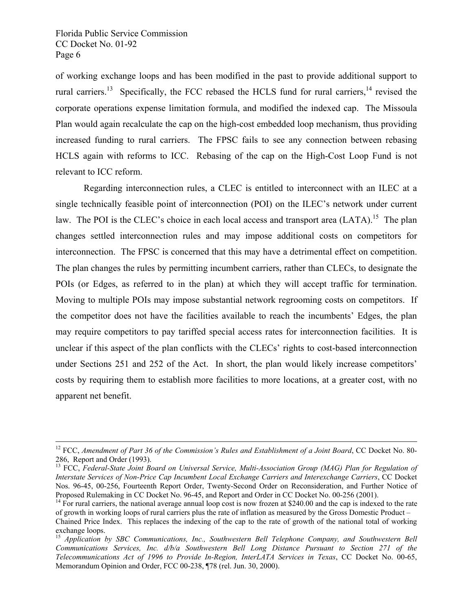of working exchange loops and has been modified in the past to provide additional support to rural carriers.<sup>13</sup> Specifically, the FCC rebased the HCLS fund for rural carriers,<sup>14</sup> revised the corporate operations expense limitation formula, and modified the indexed cap. The Missoula Plan would again recalculate the cap on the high-cost embedded loop mechanism, thus providing increased funding to rural carriers. The FPSC fails to see any connection between rebasing HCLS again with reforms to ICC. Rebasing of the cap on the High-Cost Loop Fund is not relevant to ICC reform.

Regarding interconnection rules, a CLEC is entitled to interconnect with an ILEC at a single technically feasible point of interconnection (POI) on the ILEC's network under current law. The POI is the CLEC's choice in each local access and transport area (LATA).<sup>15</sup> The plan changes settled interconnection rules and may impose additional costs on competitors for interconnection. The FPSC is concerned that this may have a detrimental effect on competition. The plan changes the rules by permitting incumbent carriers, rather than CLECs, to designate the POIs (or Edges, as referred to in the plan) at which they will accept traffic for termination. Moving to multiple POIs may impose substantial network regrooming costs on competitors. If the competitor does not have the facilities available to reach the incumbents' Edges, the plan may require competitors to pay tariffed special access rates for interconnection facilities. It is unclear if this aspect of the plan conflicts with the CLECs' rights to cost-based interconnection under Sections 251 and 252 of the Act. In short, the plan would likely increase competitors' costs by requiring them to establish more facilities to more locations, at a greater cost, with no apparent net benefit.

<sup>&</sup>lt;sup>12</sup> FCC, Amendment of Part 36 of the Commission's Rules and Establishment of a Joint Board, CC Docket No. 80-286, Report and Order (1993).

<sup>&</sup>lt;sup>13</sup> FCC, Federal-State Joint Board on Universal Service, Multi-Association Group (MAG) Plan for Regulation of *Interstate Services of Non-Price Cap Incumbent Local Exchange Carriers and Interexchange Carriers*, CC Docket Nos. 96-45, 00-256, Fourteenth Report Order, Twenty-Second Order on Reconsideration, and Further Notice of Proposed Rulemaking in CC Docket No. 96-45, and Report and Order in CC Docket No. 00-256 (2001).

 $<sup>14</sup>$  For rural carriers, the national average annual loop cost is now frozen at \$240.00 and the cap is indexed to the rate</sup> of growth in working loops of rural carriers plus the rate of inflation as measured by the Gross Domestic Product –

Chained Price Index. This replaces the indexing of the cap to the rate of growth of the national total of working exchange loops.

<sup>15</sup> *Application by SBC Communications, Inc., Southwestern Bell Telephone Company, and Southwestern Bell Communications Services, Inc. d/b/a Southwestern Bell Long Distance Pursuant to Section 271 of the Telecommunications Act of 1996 to Provide In-Region, InterLATA Services in Texas*, CC Docket No. 00-65, Memorandum Opinion and Order, FCC 00-238, ¶78 (rel. Jun. 30, 2000).